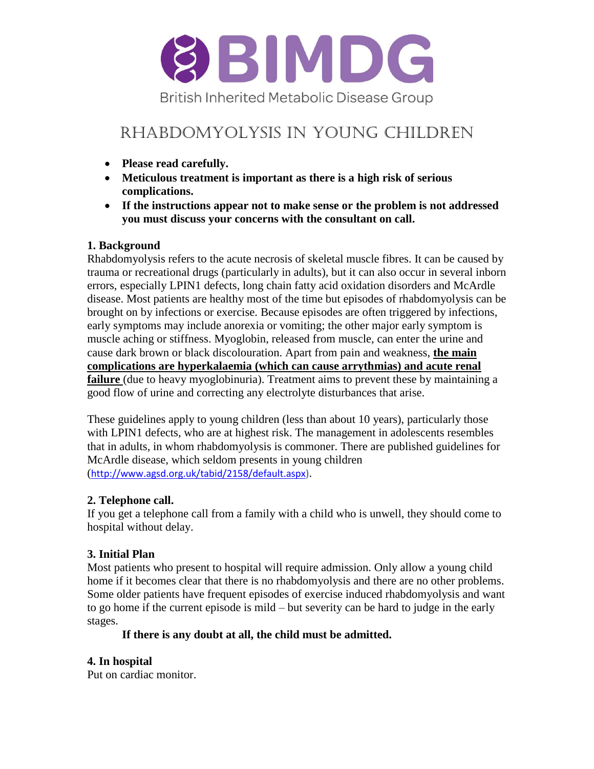

# RHABDOMYOLYSIS IN YOUNG CHILDREN

- **Please read carefully.**
- **Meticulous treatment is important as there is a high risk of serious complications.**
- **If the instructions appear not to make sense or the problem is not addressed you must discuss your concerns with the consultant on call.**

#### **1. Background**

Rhabdomyolysis refers to the acute necrosis of skeletal muscle fibres. It can be caused by trauma or recreational drugs (particularly in adults), but it can also occur in several inborn errors, especially LPIN1 defects, long chain fatty acid oxidation disorders and McArdle disease. Most patients are healthy most of the time but episodes of rhabdomyolysis can be brought on by infections or exercise. Because episodes are often triggered by infections, early symptoms may include anorexia or vomiting; the other major early symptom is muscle aching or stiffness. Myoglobin, released from muscle, can enter the urine and cause dark brown or black discolouration. Apart from pain and weakness, **the main complications are hyperkalaemia (which can cause arrythmias) and acute renal failure** (due to heavy myoglobinuria). Treatment aims to prevent these by maintaining a good flow of urine and correcting any electrolyte disturbances that arise.

These guidelines apply to young children (less than about 10 years), particularly those with LPIN1 defects, who are at highest risk. The management in adolescents resembles that in adults, in whom rhabdomyolysis is commoner. There are published guidelines for McArdle disease, which seldom presents in young children ([http://www.agsd.org.uk/tabid/2158/default.aspx\)](http://www.agsd.org.uk/tabid/2158/default.aspx).

#### **2. Telephone call.**

If you get a telephone call from a family with a child who is unwell, they should come to hospital without delay.

## **3. Initial Plan**

Most patients who present to hospital will require admission. Only allow a young child home if it becomes clear that there is no rhabdomyolysis and there are no other problems. Some older patients have frequent episodes of exercise induced rhabdomyolysis and want to go home if the current episode is mild – but severity can be hard to judge in the early stages.

#### **If there is any doubt at all, the child must be admitted.**

#### **4. In hospital**

Put on cardiac monitor.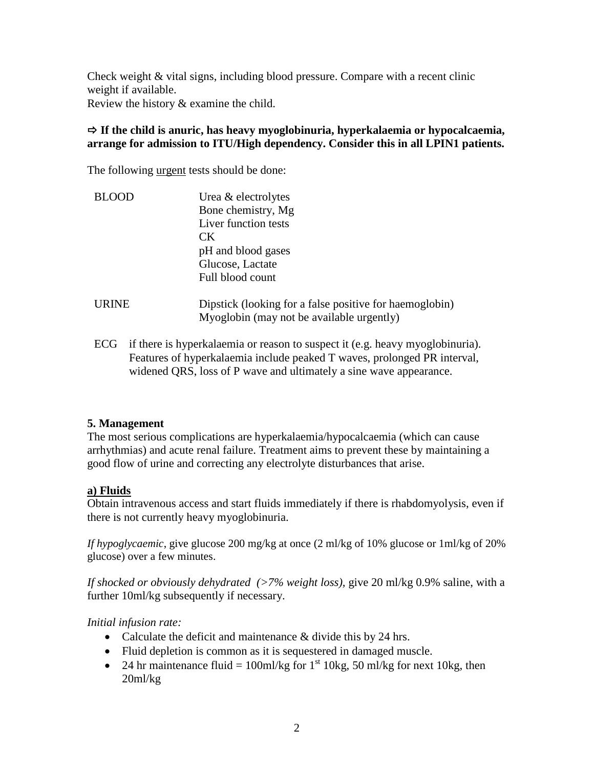Check weight & vital signs, including blood pressure. Compare with a recent clinic weight if available. Review the history & examine the child.

#### **If the child is anuric, has heavy myoglobinuria, hyperkalaemia or hypocalcaemia, arrange for admission to ITU/High dependency. Consider this in all LPIN1 patients.**

The following urgent tests should be done:

| <b>BLOOD</b> | Urea & electrolytes                                                                                  |
|--------------|------------------------------------------------------------------------------------------------------|
|              | Bone chemistry, Mg                                                                                   |
|              | Liver function tests                                                                                 |
|              | CK.                                                                                                  |
|              | pH and blood gases                                                                                   |
|              | Glucose, Lactate                                                                                     |
|              | Full blood count                                                                                     |
| <b>URINE</b> | Dipstick (looking for a false positive for haemoglobin)<br>Myoglobin (may not be available urgently) |
|              |                                                                                                      |

ECG if there is hyperkalaemia or reason to suspect it (e.g. heavy myoglobinuria). Features of hyperkalaemia include peaked T waves, prolonged PR interval, widened QRS, loss of P wave and ultimately a sine wave appearance.

#### **5. Management**

The most serious complications are hyperkalaemia/hypocalcaemia (which can cause arrhythmias) and acute renal failure. Treatment aims to prevent these by maintaining a good flow of urine and correcting any electrolyte disturbances that arise.

#### **a) Fluids**

Obtain intravenous access and start fluids immediately if there is rhabdomyolysis, even if there is not currently heavy myoglobinuria.

*If hypoglycaemic*, give glucose 200 mg/kg at once (2 ml/kg of 10% glucose or 1ml/kg of 20% glucose) over a few minutes.

*If shocked or obviously dehydrated (>7% weight loss),* give 20 ml/kg 0.9% saline, with a further 10ml/kg subsequently if necessary.

#### *Initial infusion rate:*

- Calculate the deficit and maintenance & divide this by 24 hrs.
- Fluid depletion is common as it is sequestered in damaged muscle.
- 24 hr maintenance fluid = 100ml/kg for  $1<sup>st</sup>$  10kg, 50 ml/kg for next 10kg, then 20ml/kg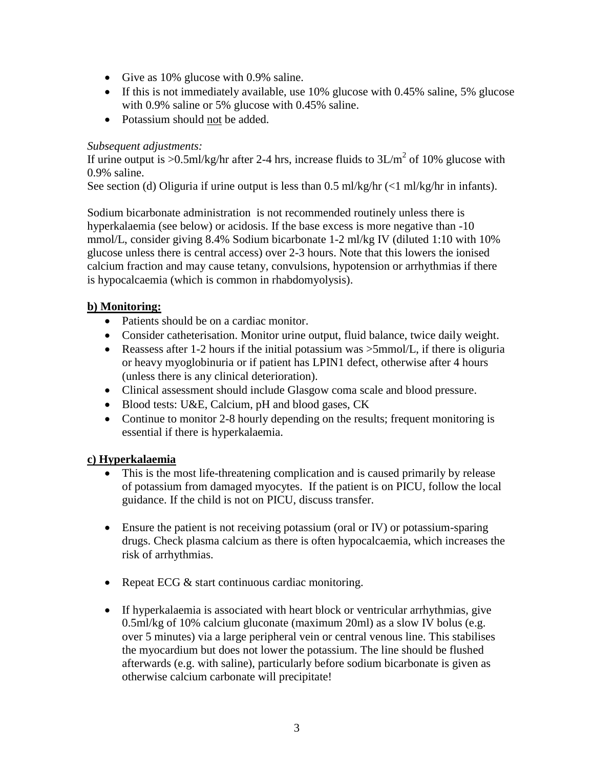- Give as 10% glucose with 0.9% saline.
- If this is not immediately available, use 10% glucose with 0.45% saline, 5% glucose with 0.9% saline or 5% glucose with 0.45% saline.
- Potassium should not be added.

#### *Subsequent adjustments:*

If urine output is >0.5ml/kg/hr after 2-4 hrs, increase fluids to  $3L/m<sup>2</sup>$  of 10% glucose with 0.9% saline.

See section (d) Oliguria if urine output is less than  $0.5$  ml/kg/hr  $\ll 1$  ml/kg/hr in infants).

Sodium bicarbonate administration is not recommended routinely unless there is hyperkalaemia (see below) or acidosis. If the base excess is more negative than -10 mmol/L, consider giving 8.4% Sodium bicarbonate 1-2 ml/kg IV (diluted 1:10 with 10% glucose unless there is central access) over 2-3 hours. Note that this lowers the ionised calcium fraction and may cause tetany, convulsions, hypotension or arrhythmias if there is hypocalcaemia (which is common in rhabdomyolysis).

### **b) Monitoring:**

- Patients should be on a cardiac monitor.
- Consider catheterisation. Monitor urine output, fluid balance, twice daily weight.
- Reassess after 1-2 hours if the initial potassium was  $>5$ mmol/L, if there is oliguria or heavy myoglobinuria or if patient has LPIN1 defect, otherwise after 4 hours (unless there is any clinical deterioration).
- Clinical assessment should include Glasgow coma scale and blood pressure.
- Blood tests: U&E, Calcium, pH and blood gases, CK
- Continue to monitor 2-8 hourly depending on the results; frequent monitoring is essential if there is hyperkalaemia.

#### **c) Hyperkalaemia**

- This is the most life-threatening complication and is caused primarily by release of potassium from damaged myocytes. If the patient is on PICU, follow the local guidance. If the child is not on PICU, discuss transfer.
- Ensure the patient is not receiving potassium (oral or IV) or potassium-sparing drugs. Check plasma calcium as there is often hypocalcaemia, which increases the risk of arrhythmias.
- Repeat ECG & start continuous cardiac monitoring.
- If hyperkalaemia is associated with heart block or ventricular arrhythmias, give 0.5ml/kg of 10% calcium gluconate (maximum 20ml) as a slow IV bolus (e.g. over 5 minutes) via a large peripheral vein or central venous line. This stabilises the myocardium but does not lower the potassium. The line should be flushed afterwards (e.g. with saline), particularly before sodium bicarbonate is given as otherwise calcium carbonate will precipitate!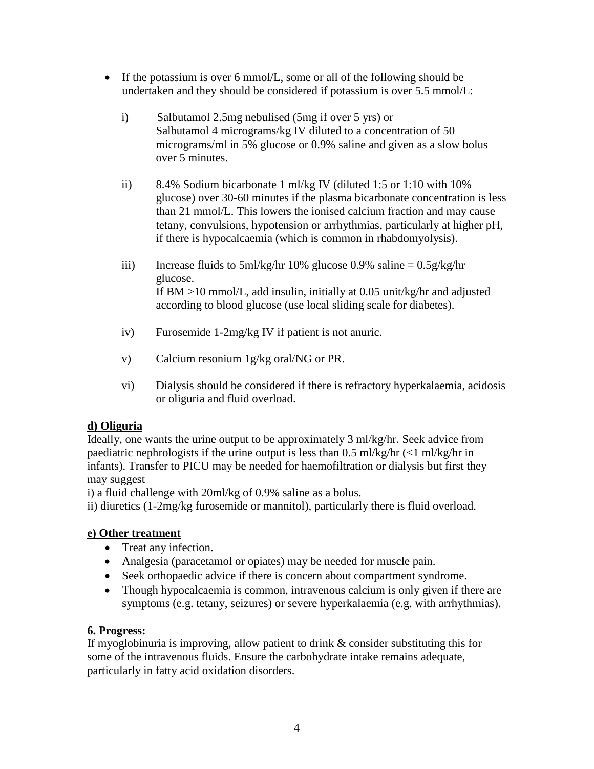- If the potassium is over 6 mmol/L, some or all of the following should be undertaken and they should be considered if potassium is over 5.5 mmol/L:
	- i) Salbutamol 2.5mg nebulised (5mg if over 5 yrs) or Salbutamol 4 micrograms/kg IV diluted to a concentration of 50 micrograms/ml in 5% glucose or 0.9% saline and given as a slow bolus over 5 minutes.
	- ii) 8.4% Sodium bicarbonate 1 ml/kg IV (diluted 1:5 or 1:10 with 10% glucose) over 30-60 minutes if the plasma bicarbonate concentration is less than 21 mmol/L. This lowers the ionised calcium fraction and may cause tetany, convulsions, hypotension or arrhythmias, particularly at higher pH, if there is hypocalcaemia (which is common in rhabdomyolysis).
	- iii) Increase fluids to 5ml/kg/hr 10% glucose 0.9% saline  $= 0.5$ g/kg/hr glucose. If BM >10 mmol/L, add insulin, initially at 0.05 unit/kg/hr and adjusted according to blood glucose (use local sliding scale for diabetes).
	- iv) Furosemide 1-2mg/kg IV if patient is not anuric.
	- v) Calcium resonium 1g/kg oral/NG or PR.
	- vi) Dialysis should be considered if there is refractory hyperkalaemia, acidosis or oliguria and fluid overload.

#### **d) Oliguria**

Ideally, one wants the urine output to be approximately 3 ml/kg/hr. Seek advice from paediatric nephrologists if the urine output is less than  $0.5$  ml/kg/hr  $\langle$ <1 ml/kg/hr in infants). Transfer to PICU may be needed for haemofiltration or dialysis but first they may suggest

i) a fluid challenge with 20ml/kg of 0.9% saline as a bolus.

ii) diuretics (1-2mg/kg furosemide or mannitol), particularly there is fluid overload.

#### **e) Other treatment**

- Treat any infection.
- Analgesia (paracetamol or opiates) may be needed for muscle pain.
- Seek orthopaedic advice if there is concern about compartment syndrome.
- Though hypocalcaemia is common, intravenous calcium is only given if there are symptoms (e.g. tetany, seizures) or severe hyperkalaemia (e.g. with arrhythmias).

#### **6. Progress:**

If myoglobinuria is improving, allow patient to drink & consider substituting this for some of the intravenous fluids. Ensure the carbohydrate intake remains adequate, particularly in fatty acid oxidation disorders.